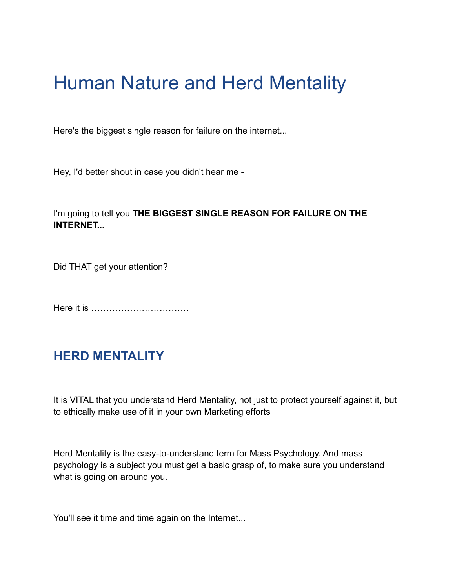# Human Nature and Herd Mentality

Here's the biggest single reason for failure on the internet...

Hey, I'd better shout in case you didn't hear me -

### I'm going to tell you **THE BIGGEST SINGLE REASON FOR FAILURE ON THE INTERNET...**

Did THAT get your attention?

Here it is ……………………………

## **HERD MENTALITY**

It is VITAL that you understand Herd Mentality, not just to protect yourself against it, but to ethically make use of it in your own Marketing efforts

Herd Mentality is the easy-to-understand term for Mass Psychology. And mass psychology is a subject you must get a basic grasp of, to make sure you understand what is going on around you.

You'll see it time and time again on the Internet...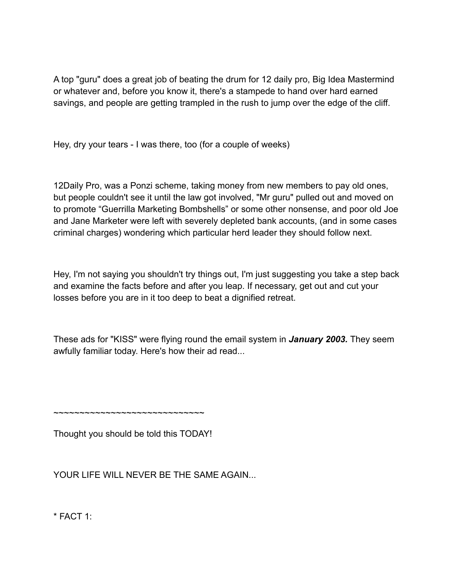A top "guru" does a great job of beating the drum for 12 daily pro, Big Idea Mastermind or whatever and, before you know it, there's a stampede to hand over hard earned savings, and people are getting trampled in the rush to jump over the edge of the cliff.

Hey, dry your tears - I was there, too (for a couple of weeks)

12Daily Pro, was a Ponzi scheme, taking money from new members to pay old ones, but people couldn't see it until the law got involved, "Mr guru" pulled out and moved on to promote "Guerrilla Marketing Bombshells" or some other nonsense, and poor old Joe and Jane Marketer were left with severely depleted bank accounts, (and in some cases criminal charges) wondering which particular herd leader they should follow next.

Hey, I'm not saying you shouldn't try things out, I'm just suggesting you take a step back and examine the facts before and after you leap. If necessary, get out and cut your losses before you are in it too deep to beat a dignified retreat.

These ads for "KISS" were flying round the email system in *January 2003.* They seem awfully familiar today. Here's how their ad read...

~~~~~~~~~~~~~~~~~~~~~~~~~~~~~

Thought you should be told this TODAY!

YOUR LIFE WILL NEVER BE THE SAME AGAIN...

 $*$  FACT 1: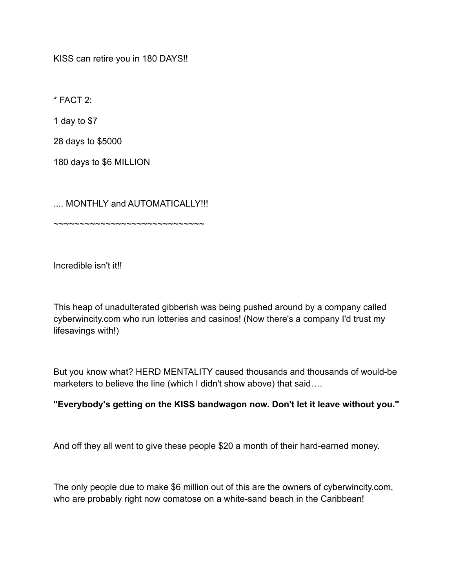KISS can retire you in 180 DAYS!!

 $*$  FACT  $2$ 

1 day to \$7

28 days to \$5000

180 days to \$6 MILLION

.... MONTHLY and AUTOMATICALLY!!!

~~~~~~~~~~~~~~~~~~~~~~~~~~~~~~

Incredible isn't it!!

This heap of unadulterated gibberish was being pushed around by a company called cyberwincity.com who run lotteries and casinos! (Now there's a company I'd trust my lifesavings with!)

But you know what? HERD MENTALITY caused thousands and thousands of would-be marketers to believe the line (which I didn't show above) that said....

#### **"Everybody's getting on the KISS bandwagon now. Don't let it leave without you."**

And off they all went to give these people \$20 a month of their hard-earned money.

The only people due to make \$6 million out of this are the owners of cyberwincity.com, who are probably right now comatose on a white-sand beach in the Caribbean!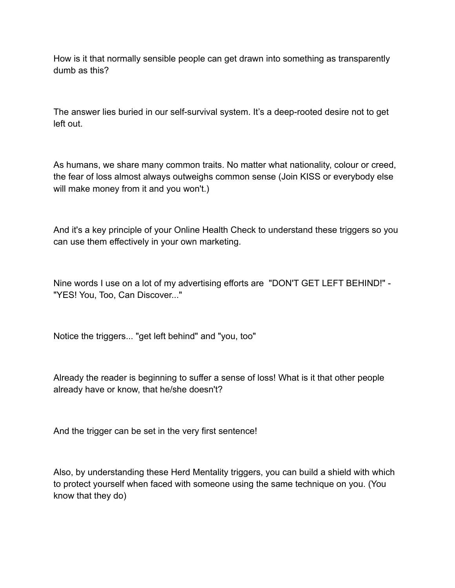How is it that normally sensible people can get drawn into something as transparently dumb as this?

The answer lies buried in our self-survival system. It's a deep-rooted desire not to get left out.

As humans, we share many common traits. No matter what nationality, colour or creed, the fear of loss almost always outweighs common sense (Join KISS or everybody else will make money from it and you won't.)

And it's a key principle of your Online Health Check to understand these triggers so you can use them effectively in your own marketing.

Nine words I use on a lot of my advertising efforts are "DON'T GET LEFT BEHIND!" - "YES! You, Too, Can Discover..."

Notice the triggers... "get left behind" and "you, too"

Already the reader is beginning to suffer a sense of loss! What is it that other people already have or know, that he/she doesn't?

And the trigger can be set in the very first sentence!

Also, by understanding these Herd Mentality triggers, you can build a shield with which to protect yourself when faced with someone using the same technique on you. (You know that they do)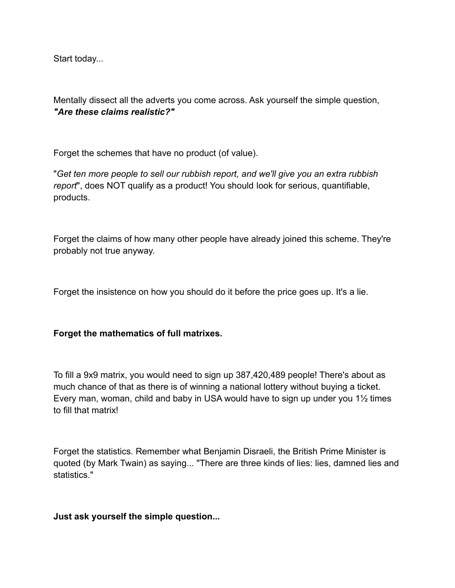Start today...

Mentally dissect all the adverts you come across. Ask yourself the simple question, *"Are these claims realistic?"*

Forget the schemes that have no product (of value).

"*Get ten more people to sell our rubbish report, and we'll give you an extra rubbish report*", does NOT qualify as a product! You should look for serious, quantifiable, products.

Forget the claims of how many other people have already joined this scheme. They're probably not true anyway.

Forget the insistence on how you should do it before the price goes up. It's a lie.

#### **Forget the mathematics of full matrixes.**

To fill a 9x9 matrix, you would need to sign up 387,420,489 people! There's about as much chance of that as there is of winning a national lottery without buying a ticket. Every man, woman, child and baby in USA would have to sign up under you 1½ times to fill that matrix!

Forget the statistics. Remember what Benjamin Disraeli, the British Prime Minister is quoted (by Mark Twain) as saying... "There are three kinds of lies: lies, damned lies and statistics."

#### **Just ask yourself the simple question...**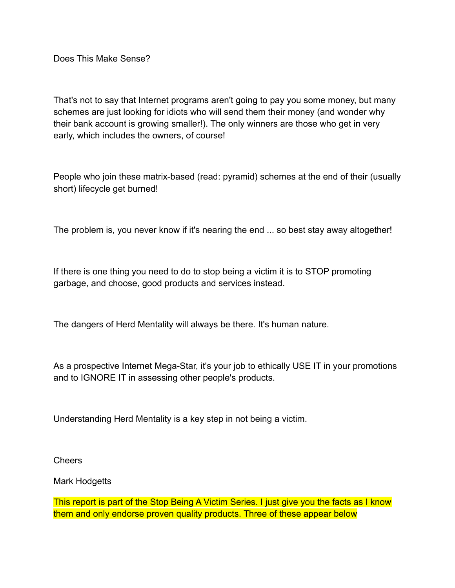Does This Make Sense?

That's not to say that Internet programs aren't going to pay you some money, but many schemes are just looking for idiots who will send them their money (and wonder why their bank account is growing smaller!). The only winners are those who get in very early, which includes the owners, of course!

People who join these matrix-based (read: pyramid) schemes at the end of their (usually short) lifecycle get burned!

The problem is, you never know if it's nearing the end ... so best stay away altogether!

If there is one thing you need to do to stop being a victim it is to STOP promoting garbage, and choose, good products and services instead.

The dangers of Herd Mentality will always be there. It's human nature.

As a prospective Internet Mega-Star, it's your job to ethically USE IT in your promotions and to IGNORE IT in assessing other people's products.

Understanding Herd Mentality is a key step in not being a victim.

Cheers

Mark Hodgetts

This report is part of the Stop Being A Victim Series. I just give you the facts as I know them and only endorse proven quality products. Three of these appear below